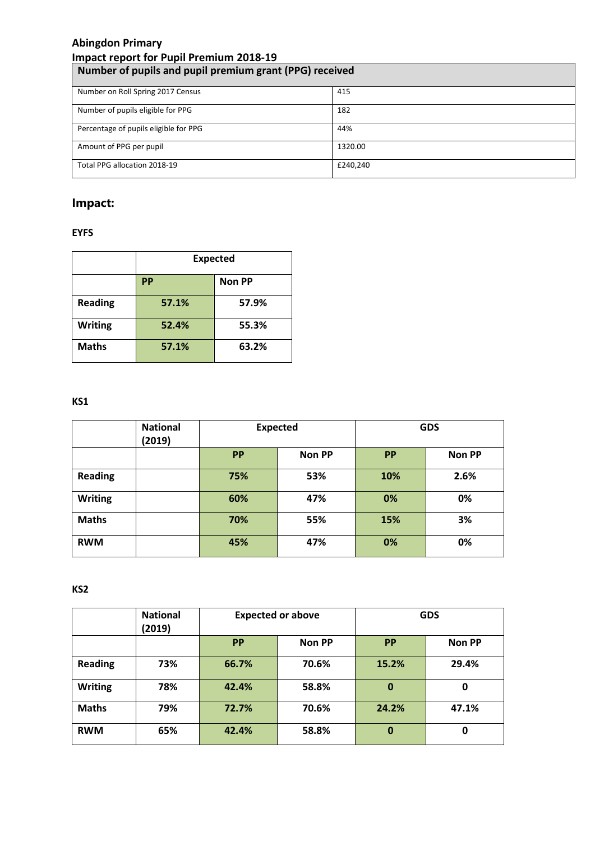# **Abingdon Primary**

| <b>Impact report for Pupil Premium 2018-19</b>          |          |  |  |
|---------------------------------------------------------|----------|--|--|
| Number of pupils and pupil premium grant (PPG) received |          |  |  |
| Number on Roll Spring 2017 Census                       | 415      |  |  |
| Number of pupils eligible for PPG                       | 182      |  |  |
| Percentage of pupils eligible for PPG                   | 44%      |  |  |
| Amount of PPG per pupil                                 | 1320.00  |  |  |
| Total PPG allocation 2018-19                            | £240,240 |  |  |

## **Impact:**

## **EYFS**

|                | <b>Expected</b>            |       |  |  |
|----------------|----------------------------|-------|--|--|
|                | <b>Non PP</b><br><b>PP</b> |       |  |  |
| <b>Reading</b> | 57.1%                      | 57.9% |  |  |
| <b>Writing</b> | 52.4%                      | 55.3% |  |  |
| <b>Maths</b>   | 57.1%                      | 63.2% |  |  |

## **KS1**

|                | <b>National</b><br>(2019) | <b>Expected</b> |               | <b>GDS</b> |               |
|----------------|---------------------------|-----------------|---------------|------------|---------------|
|                |                           | <b>PP</b>       | <b>Non PP</b> | <b>PP</b>  | <b>Non PP</b> |
| <b>Reading</b> |                           | 75%             | 53%           | 10%        | 2.6%          |
| <b>Writing</b> |                           | 60%             | 47%           | 0%         | 0%            |
| <b>Maths</b>   |                           | 70%             | 55%           | 15%        | 3%            |
| <b>RWM</b>     |                           | 45%             | 47%           | 0%         | 0%            |

**KS2**

|                | <b>National</b><br>(2019) | <b>Expected or above</b> |               |             | <b>GDS</b>    |
|----------------|---------------------------|--------------------------|---------------|-------------|---------------|
|                |                           | <b>PP</b>                | <b>Non PP</b> | <b>PP</b>   | <b>Non PP</b> |
| <b>Reading</b> | 73%                       | 66.7%                    | 70.6%         | 15.2%       | 29.4%         |
| <b>Writing</b> | 78%                       | 42.4%                    | 58.8%         | 0           | 0             |
| <b>Maths</b>   | 79%                       | 72.7%                    | 70.6%         | 24.2%       | 47.1%         |
| <b>RWM</b>     | 65%                       | 42.4%                    | 58.8%         | $\mathbf 0$ | 0             |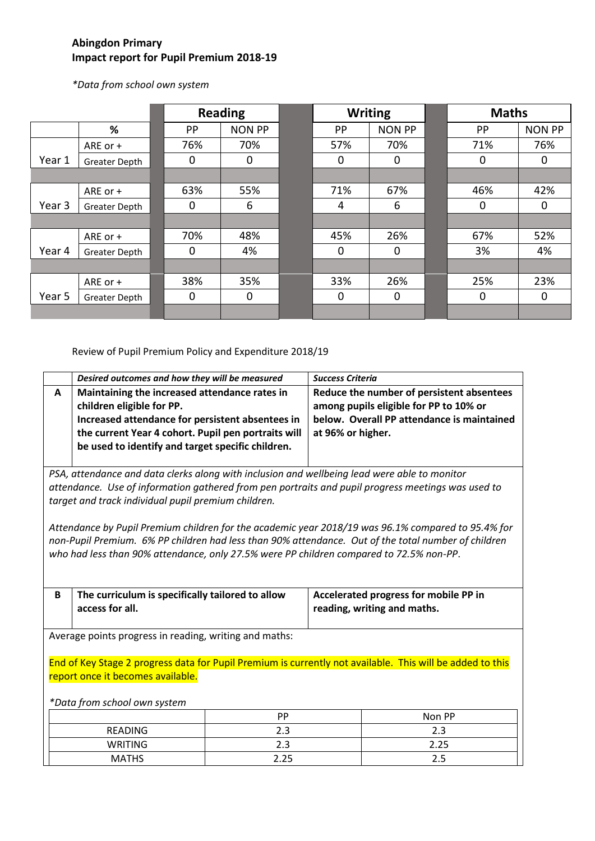### **Abingdon Primary Impact report for Pupil Premium 2018-19**

*\*Data from school own system*

|        |               |             | <b>Reading</b> |             | <b>Writing</b> | <b>Maths</b> |               |
|--------|---------------|-------------|----------------|-------------|----------------|--------------|---------------|
|        | %             | PP          | <b>NON PP</b>  | PP          | <b>NON PP</b>  | PP           | <b>NON PP</b> |
|        | ARE or +      | 76%         | 70%            | 57%         | 70%            | 71%          | 76%           |
| Year 1 | Greater Depth | $\mathbf 0$ | $\mathbf 0$    | 0           | 0              | $\mathbf 0$  | 0             |
|        |               |             |                |             |                |              |               |
|        | ARE or +      | 63%         | 55%            | 71%         | 67%            | 46%          | 42%           |
| Year 3 | Greater Depth | 0           | 6              | 4           | 6              | $\mathbf 0$  | 0             |
|        |               |             |                |             |                |              |               |
|        | ARE or +      | 70%         | 48%            | 45%         | 26%            | 67%          | 52%           |
| Year 4 | Greater Depth | 0           | 4%             | 0           | 0              | 3%           | 4%            |
|        |               |             |                |             |                |              |               |
|        | ARE or +      | 38%         | 35%            | 33%         | 26%            | 25%          | 23%           |
| Year 5 | Greater Depth | $\mathbf 0$ | $\mathbf 0$    | $\mathbf 0$ | 0              | $\mathbf 0$  | 0             |
|        |               |             |                |             |                |              |               |

Review of Pupil Premium Policy and Expenditure 2018/19

|                                                                                                                                                                                                                                                           | Desired outcomes and how they will be measured                                                                                                                                                                                             | <b>Success Criteria</b>                                                                                                                                |  |
|-----------------------------------------------------------------------------------------------------------------------------------------------------------------------------------------------------------------------------------------------------------|--------------------------------------------------------------------------------------------------------------------------------------------------------------------------------------------------------------------------------------------|--------------------------------------------------------------------------------------------------------------------------------------------------------|--|
| A                                                                                                                                                                                                                                                         | Maintaining the increased attendance rates in<br>children eligible for PP.<br>Increased attendance for persistent absentees in<br>the current Year 4 cohort. Pupil pen portraits will<br>be used to identify and target specific children. | Reduce the number of persistent absentees<br>among pupils eligible for PP to 10% or<br>below. Overall PP attendance is maintained<br>at 96% or higher. |  |
| PSA, attendance and data clerks along with inclusion and wellbeing lead were able to monitor<br>attendance. Use of information gathered from pen portraits and pupil progress meetings was used to<br>target and track individual pupil premium children. |                                                                                                                                                                                                                                            |                                                                                                                                                        |  |

*Attendance by Pupil Premium children for the academic year 2018/19 was 96.1% compared to 95.4% for non-Pupil Premium. 6% PP children had less than 90% attendance. Out of the total number of children who had less than 90% attendance, only 27.5% were PP children compared to 72.5% non-PP*.

| The curriculum is specifically tailored to allow<br>access for all. | Accelerated progress for mobile PP in<br>reading, writing and maths. |
|---------------------------------------------------------------------|----------------------------------------------------------------------|
|                                                                     |                                                                      |

Average points progress in reading, writing and maths:

End of Key Stage 2 progress data for Pupil Premium is currently not available. This will be added to this report once it becomes available.

#### *\*Data from school own system*

|                | <b>PP</b>         | Non PP |
|----------------|-------------------|--------|
| <b>READING</b> | ⌒<br>ـ            | ر .    |
| <b>WRITING</b> | ن . ک             | 2.25   |
| <b>MATHS</b>   | $\mathbf{\Omega}$ | ر . ے  |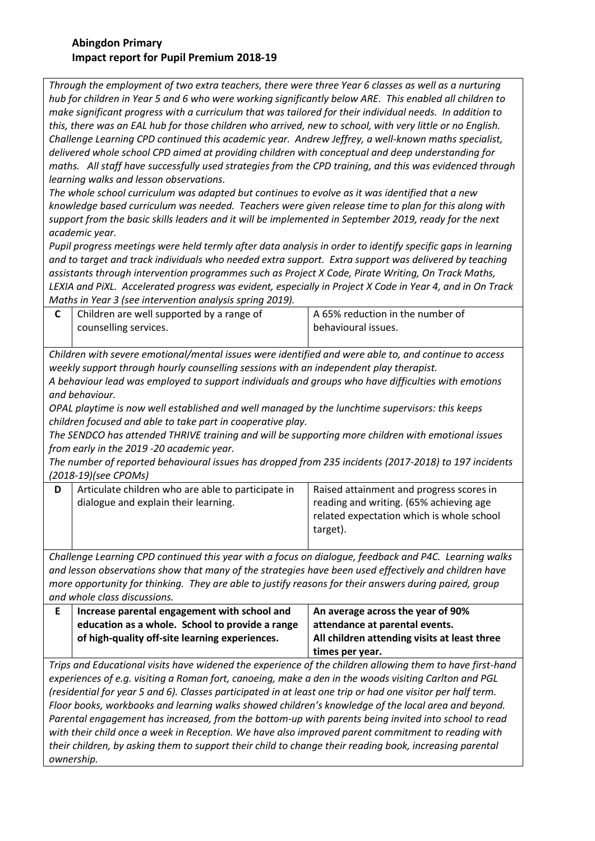#### **Abingdon Primary Impact report for Pupil Premium 2018-19**

*Through the employment of two extra teachers, there were three Year 6 classes as well as a nurturing hub for children in Year 5 and 6 who were working significantly below ARE. This enabled all children to make significant progress with a curriculum that was tailored for their individual needs. In addition to this, there was an EAL hub for those children who arrived, new to school, with very little or no English. Challenge Learning CPD continued this academic year. Andrew Jeffrey, a well-known maths specialist, delivered whole school CPD aimed at providing children with conceptual and deep understanding for maths. All staff have successfully used strategies from the CPD training, and this was evidenced through learning walks and lesson observations.* 

*The whole school curriculum was adapted but continues to evolve as it was identified that a new knowledge based curriculum was needed. Teachers were given release time to plan for this along with support from the basic skills leaders and it will be implemented in September 2019, ready for the next academic year.*

*Pupil progress meetings were held termly after data analysis in order to identify specific gaps in learning and to target and track individuals who needed extra support. Extra support was delivered by teaching assistants through intervention programmes such as Project X Code, Pirate Writing, On Track Maths, LEXIA and PiXL. Accelerated progress was evident, especially in Project X Code in Year 4, and in On Track Maths in Year 3 (see intervention analysis spring 2019).*

| Children are well supported by a range of | A 65% reduction in the number of |
|-------------------------------------------|----------------------------------|
| counselling services.                     | behavioural issues.              |
|                                           |                                  |

*Children with severe emotional/mental issues were identified and were able to, and continue to access weekly support through hourly counselling sessions with an independent play therapist.* 

*A behaviour lead was employed to support individuals and groups who have difficulties with emotions and behaviour.* 

*OPAL playtime is now well established and well managed by the lunchtime supervisors: this keeps children focused and able to take part in cooperative play.*

*The SENDCO has attended THRIVE training and will be supporting more children with emotional issues from early in the 2019 -20 academic year.*

*The number of reported behavioural issues has dropped from 235 incidents (2017-2018) to 197 incidents (2018-19)(see CPOMs)*

| Articulate children who are able to participate in<br>dialogue and explain their learning. | Raised attainment and progress scores in<br>reading and writing. (65% achieving age |
|--------------------------------------------------------------------------------------------|-------------------------------------------------------------------------------------|
|                                                                                            | related expectation which is whole school<br>target).                               |

*Challenge Learning CPD continued this year with a focus on dialogue, feedback and P4C. Learning walks and lesson observations show that many of the strategies have been used effectively and children have more opportunity for thinking. They are able to justify reasons for their answers during paired, group and whole class discussions.* 

| Increase parental engagement with school and    | An average across the year of 90%            |
|-------------------------------------------------|----------------------------------------------|
| education as a whole. School to provide a range | attendance at parental events.               |
| of high-quality off-site learning experiences.  | All children attending visits at least three |
|                                                 | times per year.                              |

*Trips and Educational visits have widened the experience of the children allowing them to have first-hand experiences of e.g. visiting a Roman fort, canoeing, make a den in the woods visiting Carlton and PGL (residential for year 5 and 6). Classes participated in at least one trip or had one visitor per half term. Floor books, workbooks and learning walks showed children's knowledge of the local area and beyond. Parental engagement has increased, from the bottom-up with parents being invited into school to read with their child once a week in Reception. We have also improved parent commitment to reading with their children, by asking them to support their child to change their reading book, increasing parental ownership.*